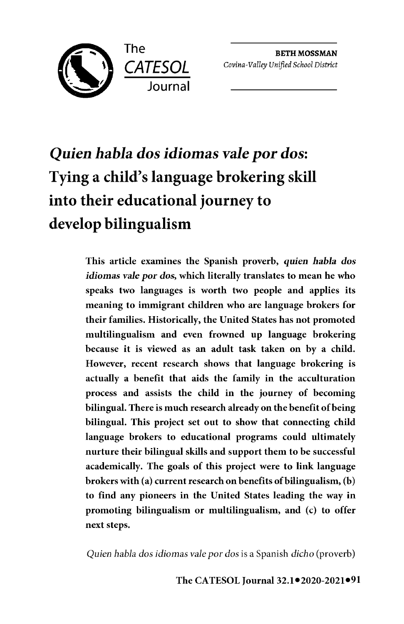

BETH **MOSSMAN**  *Covina-Valley Unified School District* 

# *Quien habla dos idiomas vale por dos:*  **Tying a child's language brokering skill into their educational journey to develop bilingualism**

This article examines the Spanish proverb, *quien habla* dos *idiomas vale por* dos, which literally translates to mean he who speaks two languages is worth two people and applies its meaning to immigrant children who are language brokers for their families. Historically, the United States has not promoted multilingualism and even frowned up language brokering because it is viewed as an adult task taken on by a child. However, recent research shows that language brokering is actually a benefit that aids the family in the acculturation process and assists the child in the journey of becoming bilingual. There is much research already on the benefit of being bilingual. This project set out to show that connecting child language brokers to educational programs could ultimately nurture their bilingual skills and support them to be successful academically. The goals of this project were to link language brokers with (a) current research on benefits of bilingualism,  $(b)$ to find any pioneers in the United States leading the way in promoting bilingualism or multilingualism, and (c) to offer next steps.

*Quien habla dos idiomas vale par dos* is a Spanish *dicho* (proverb)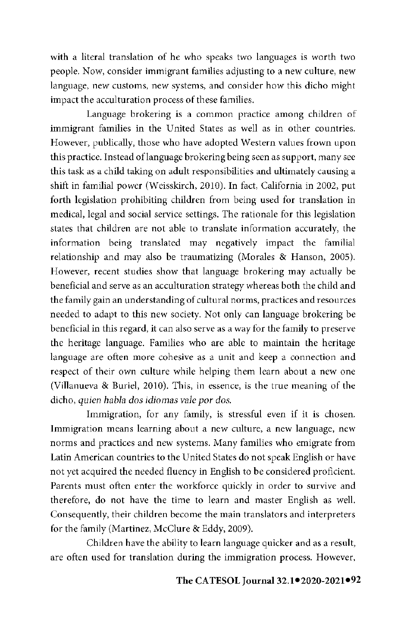with a literal translation of he who speaks two languages is worth two people. Now, consider immigrant families adjusting to a new culture, new language, new customs, new systems, and consider how this dicho might impact the acculturation process of these families.

Language brokering is a common practice among children of immigrant families in the United States as well as in other countries. However, publically, those who have adopted Western values frown upon this practice. Instead oflanguage brokering being seen as support, many see this task as a child taking on adult responsibilities and ultimately causing a shift in familial power (Weisskirch, 2010). In fact, California in 2002, put forth legislation prohibiting children from being used for translation in medical, legal and social service settings. The rationale for this legislation states that children are not able to translate information accurately, the information being translated may negatively impact the familial relationship and may also be traumatizing (Morales & Hanson, 2005). However, recent studies show that language brokering may actually be beneficial and serve as an acculturation strategy whereas both the child and the family gain an understanding of cultural norms, practices and resources needed to adapt to this new society. Not only can language brokering be beneficial in this regard, it can also serve as a way for the family to preserve the heritage language. Families who are able to maintain the heritage language are often more cohesive as a unit and keep a connection and respect of their own culture while helping them learn about a new one (Villanueva & Buriel, 2010). This, in essence, is the true meaning of the dicho, *quien habla dos idiomas vale par dos.* 

Immigration, for any family, is stressful even if it is chosen. Immigration means learning about a new culture, a new language, new norms and practices and new systems. Many families who emigrate from Latin American countries to the United States do not speak English or have not yet acquired the needed fluency in English to be considered proficient. Parents must often enter the workforce quickly in order to survive and therefore, do not have the time to learn and master English as well. Consequently, their children become the main translators and interpreters for the family (Martinez, McClure & Eddy, 2009).

Children have the ability to learn language quicker and as a result, are often used for translation during the immigration process. However,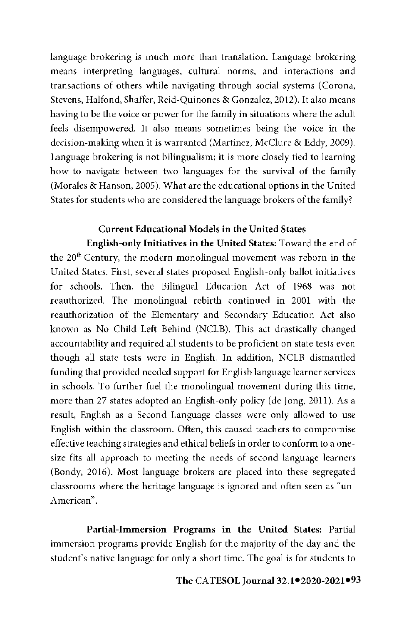language brokering is much more than translation. Language brokering means interpreting languages, cultural norms, and interactions and transactions of others while navigating through social systems (Corona, Stevens, Halfond, Shaffer, Reid-Quinones & Gonzalez, 2012). It also means having to be the voice or power for the family in situations where the adult feels disempowered. It also means sometimes being the voice in the decision-making when it is warranted (Martinez, McClure & Eddy, 2009). Language brokering is not bilingualism; it is more closely tied to learning how to navigate between two languages for the survival of the family (Morales & Hanson, 2005). What are the educational options in the United States for students who are considered the language brokers of the family?

# **Current Educational Models in the United States**

**English-only Initiatives in the United States:** Toward the end of the 20<sup>th</sup> Century, the modern monolingual movement was reborn in the United States. First, several states proposed English-only ballot initiatives for schools. Then, the Bilingual Education Act of 1968 was not reauthorized. The monolingual rebirth continued in 2001 with the reauthorization of the Elementary and Secondary Education Act also known as No Child Left Behind (NCLB). This act drastically changed accountability and required all students to be proficient on state tests even though all state tests were in English. In addition, NCLB dismantled funding that provided needed support for English language learner services in schools. To further fuel the monolingual movement during this time, more than 27 states adopted an English-only policy (de Jong, 2011). As a result, English as a Second Language classes were only allowed to use English within the classroom. Often, this caused teachers to compromise effective teaching strategies and ethical beliefs in order to conform to a onesize fits all approach to meeting the needs of second language learners (Bondy, 2016). Most language brokers are placed into these segregated classrooms where the heritage language is ignored and often seen as "un-American".

**Partial-Immersion Programs in the United States:** Partial immersion programs provide English for the majority of the day and the student's native language for only a short time. The goal is for students to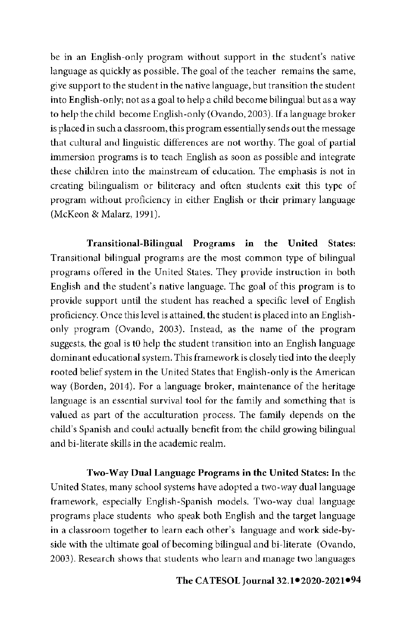be in an English-only program without support in the student's native language as quickly as possible. The goal of the teacher remains the same, give support to the student in the native language, but transition the student into English-only; not as a goal to help a child become bilingual but as a way to help the child become English-only (Ovando, 2003). If a language broker is placed in such a classroom, this program essentially sends out the message that cultural and linguistic differences are not worthy. The goal of partial immersion programs is to teach English as soon as possible and integrate these children into the mainstream of education. The emphasis is not in creating bilingualism or biliteracy and often students exit this type of program without proficiency **in** either English or their primary language (McKeon & Malarz, 1991).

**Transitional-Bilingual Programs in the United States:**  Transitional bilingual programs are the most common type of bilingual programs offered in the United States. They provide instruction in both English and the student's native language. The goal of this program is to provide support until the student has reached a specific level of English proficiency. Once this level is attained, the student is placed into an Englishonly program (Ovando, 2003). Instead, as the name of the program suggests, the goal is tO help the student transition into an English language dominant educational system. This framework is closely tied into the deeply rooted belief system in the United States that English-only is the American way (Borden, 2014). For a language broker, maintenance of the heritage language is an essential survival tool for the family and something that is valued as part of the acculturation process. The family depends on the child's Spanish and could actually benefit from the child growing bilingual and bi-literate skills in the academic realm.

**Two-Way Dual Language Programs in the United States:** In the United States, many school systems have adopted a two-way dual language framework, especially English-Spanish models. Two-way dual language programs place students who speak both English and the target language in a classroom together to learn each other's language and work side-byside with the ultimate goal of becoming bilingual and bi-literate (Ovando, 2003). Research shows that students who learn and manage two languages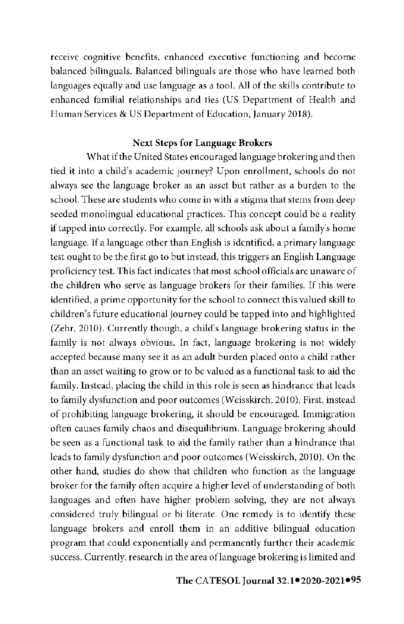receive cognitive benefits, enhanced executive functioning **and** become balanced bilinguals. Balanced bilinguals are those who have learned both languages equally and use language as a tool. All of the skills contribute to enhanced familial relationships and ties (US Department of Health and Human Services & US Department of Education, January 2018).

#### **Next Steps for Language Brokers**

What if the United States encouraged language brokering and then tied it into a child's academic journey? Upon enrollment, schools do not always see the language broker as an asset but rather as a burden to the school. These are students who come in with a stigma that stems from deep seeded monolingual educational practices. This concept could be a reality if tapped into correctly. For example, all schools ask about a family's home language. If a language other than English is identified, a primary language test ought to be the first go to but instead, this triggers an English Language proficiency test. This fact indicates that most school officials are unaware of the children who serve as language brokers for their families. If this were identified, a prime opportunity for the school to connect this valued skill to children's future educational journey could be tapped into and highlighted (Zehr, 2010). Currently though, a child's language brokering status in the family is not always obvious. In fact, language brokering is not widely accepted because many see it as an adult burden placed onto a child rather than an asset waiting to grow or to be valued as a functional task to aid the family. Instead, placing the child in this role is seen as hindrance that leads to family dysfunction and poor outcomes (Wcisskirch, 2010). First, instead of prohibiting language brokering, it should be encouraged. Immigration often causes family chaos and disequilibrium. Language brokering should be seen as a functional task to aid the family rather than a hindrance that leads to family dysfunction and poor outcomes (Weisskirch, 2010). On the other hand, studies do show that children who function as the language broker for the family often acquire a higher level of understanding of both languages and often have higher problem solving, they are not always considered truly bilingual or bi literate. One remedy is to identify these language brokers and enroll them in an additive bilingual education program that could exponentially and permanently further their academic success. Currently, research in the area of language brokering is limited and

#### **● ●95 The CA TESOL Journal 32.1 2020-2021**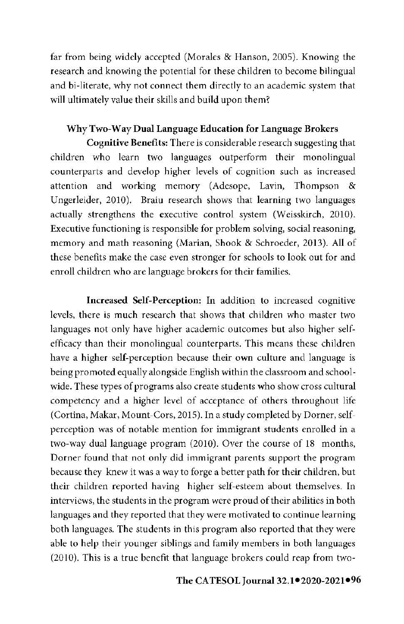far from being widely accepted (Morales & Hanson, 2005). Knowing the research and knowing the potential for these children to become bilingual and bi-literate, why not connect them directly to an academic system that will ultimately value their skills and build upon them?

## **Why Two-Way Dual Language Education for Language Brokers**

**Cognitive Benefits:** There is considerable research suggesting that children who learn two languages outperform their monolingual counterparts and develop higher levels of cognition such as increased attention and working memory (Adesope, Lavin, Thompson & Ungerleider, 2010). Braiu research shows that learning two languages actually strengthens the executive control system (Weisskirch, 2010). Executive functioning is responsible for problem solving, social reasoning, memory and math reasoning (Marian, Shook & Schroeder, 2013). All of these benefits make the case even stronger for schools to look out for and enroll children who are language brokers for their families.

**Increased Self-Perception:** In addition to increased cognitive levels, there is much research that shows that children who master two languages not only have higher academic outcomes but also higher selfefficacy than their monolingual counterparts. This means these children have a higher self-perception because their own culture and language is being promoted equally alongside English within the classroom and schoolwide. These types of programs also create students who show cross cultural competency and a higher level of acceptance of others throughout life (Cortina, Makar, Mount-Cors, 2015). In a study completed by Dorner, selfperception was of notable mention for immigrant students enrolled in a two-way dual language program (2010). Over the course of 18 months, Dorner found that not only did immigrant parents support the program because they knew it was a way to forge a better path for their children, but their children reported having higher self-esteem about themselves. In interviews, the students in the program were proud of their abilities in both languages and they reported that they were motivated to continue learning both languages. The students in this program also reported that they were able to help their younger siblings and family members in both languages (2010). This is a true benefit that language brokers could reap from two-

# **● ●96 The CA TESOL Journal 32.1 2020-2021**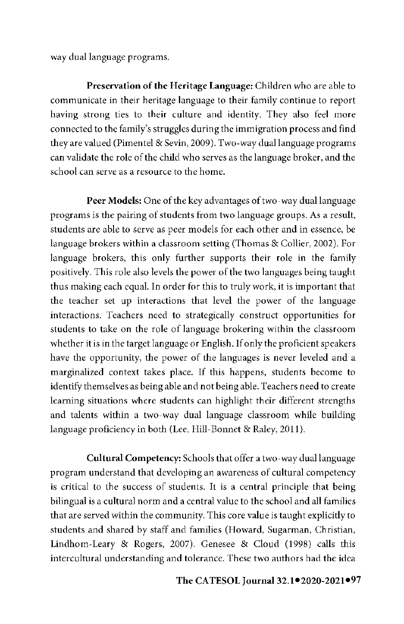way dual language programs.

**Preservation of the Heritage Language:** Children who are able to communicate in their heritage language to their family continue to report having strong ties to their culture and identity. They also feel more connected to the family's struggles during the immigration process and find they are valued (Pimentel & Sevin, 2009 ). Two-way dual language programs can validate the role of the child who serves as the language broker, and the school can serve as a resource to the home.

**Peer Models:** One of the key advantages of two-way dual language programs is the pairing of students from two language groups. As a result, students are able to serve as peer models for each other and in essence, be language brokers within a classroom setting (Thomas & Collier, 2002). For language brokers, this only further supports their role in the family positively. This role also levels the power of the two languages being taught thus making each equal. In order for this to truly work, it is important that the teacher set up interactions that level the power of the language interactions. Teachers need to strategically construct opportunities for students to take on the role of language brokering within the classroom whether it is in the target language or English. If only the proficient speakers have the opportunity, the power of the languages is never leveled and a marginalized context takes place. If this happens, students become to identify themselves as being able and not being able. Teachers need to create learning situations where students can highlight their different strengths and talents within a two-way dual language classroom while building language proficiency in both (Lee, Hill-Bonnet & Raley, 2011).

**Cultural Competency:** Schools that offer a two-way dual language program understand that developing an awareness of cultural competency is critical to the success of students. It is a central principle that being bilingual is a cultural norm and a central value to the school and all families that are served within the community. This core value is taught explicitly to students and shared by staff and families (Howard, Sugarman, Christian, Lindhom-Leary & Rogers, 2007). Genesee & Cloud (1998) calls this intercultural understanding and tolerance. These two authors had the idea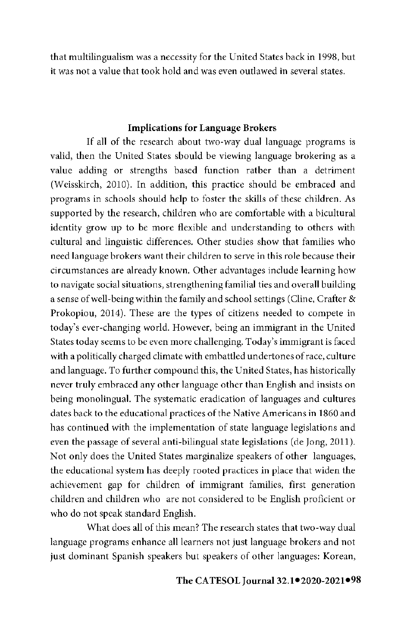that multilingualism was a necessity for the United States back in 1998, but it was not a value that took hold and was even outlawed in several states.

# **Implications for Language Brokers**

If all of the research about two-way dual language programs is valid, then the United States should be viewing language brokering as a value adding or strengths based function rather than a detriment (Wcisskirch, 2010). In addition, this practice should be embraced and programs in schools should help to foster the skills of these children. As supported by the research, children who are comfortable with a bicultural identity grow up to be more flexible and understanding to others with cultural and linguistic differences. Other studies show that families who need language brokers want their children to serve in this role because their circumstances are already known. Other advantages include learning how to navigate social situations, strengthening familial ties and overall building a sense of well-being within the family and school settings (Cline, Crafter & Prokopiou, 2014). These are the types of citizens needed to compete in today's ever-changing world. However, being an immigrant in the United States today seems to be even more challenging. Today's immigrant is faced with a politically charged climate with embattled undertones of race, culture and language. To further compound this, the United States, has historically never truly embraced any other language other than English and insists on being monolingual. The systematic eradication of languages and cultures dates back to the educational practices of the Native Americans in 1860 and has continued with the implementation of state language legislations and even the passage of several anti-bilingual state legislations (de Jong, 2011 ). Not only does the United States marginalize speakers of other languages, the educational system has deeply rooted practices in place that widen the achievement gap for children of immigrant families, first generation children and children who arc not considered to be English proficient or who do not speak standard English.

What does all of this mean? The research states that two-way dual language programs enhance all learners not just language brokers and not just dominant Spanish speakers but speakers of other languages: Korean,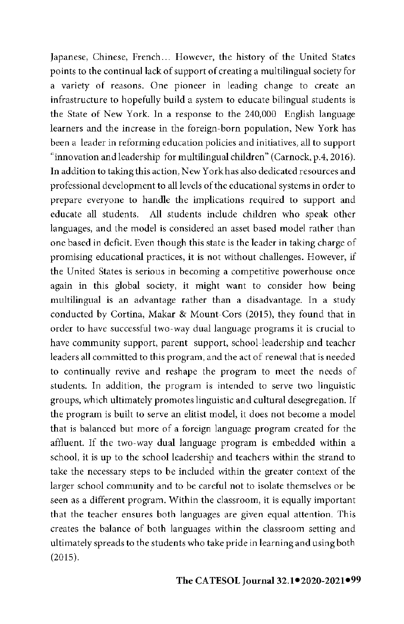Japanese, Chinese, French... However, the history of the United States points to the continual lack of support of creating a multilingual society for a variety of reasons. One pioneer in leading change to create an infrastructure to hopefully build a system to educate bilingual students is the State of New York. In a response to the 240,000 English language learners and the increase in the foreign-born population, New York has been a leader in reforming education policies and initiatives, all to support "innovation and leadership for multilingual children" (Carnock, p.4, 2016). In addition to taking this action, New York has also dedicated resources and professional development to all levels of the educational systems in order to prepare everyone to handle the implications required to support and educate all students. All students include children who speak other languages, and the model is considered an asset based model rather than one based in deficit. Even though this state is the leader in taking charge of promising educational practices, it is not without challenges. However, if the United States is serious in becoming a competitive powerhouse once again in this global society, it might want to consider how being multilingual is an advantage rather than a disadvantage. In a study conducted by Cortina, Makar & Mount-Cors (2015), they found that in order to have successful two-way dual language programs it is crucial to have community support, parent support, school-leadership and teacher leaders all committed to this program, and the act of renewal that is needed to continually revive and reshape the program to meet the needs of students. In addition, the program is intended to serve two linguistic groups, which ultimately promotes linguistic and cultural desegregation. If the program is built to serve an elitist model, it does not become a model that is balanced but more of a foreign language program created for the affluent. If the two-way dual language program is embedded within a school, it is up to the school leadership and teachers within the strand to take the necessary steps to be included within the greater context of the larger school community and to be careful not to isolate themselves or be seen as a different program. Within the classroom, it is equally important that the teacher ensures both languages are given equal attention. This creates the balance of both languages within the classroom setting and ultimately spreads to the students who take pride in learning and using both (2015).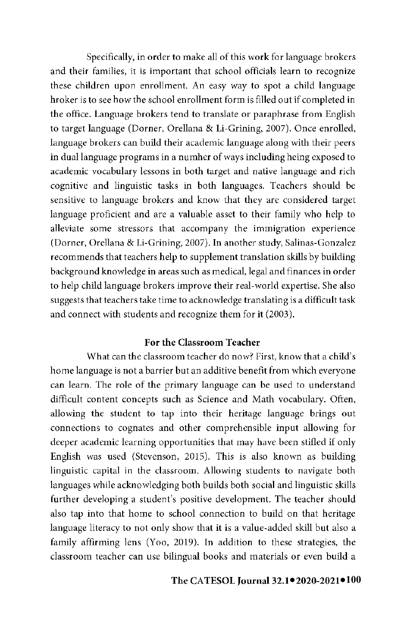Specifically, in order to make all of this work for language brokers and their families, it is important that school officials learn to recognize these children upon enrollment. An easy way to spot a child language broker is to see how the school enrollment form is filled out if completed in the office. Language brokers tend to translate or paraphrase from English to target language (Dorner, Orellana & Li-Grining, 2007). Once enrolled, language brokers can build their academic language along with their peers in dual language programs in a number of ways including being exposed to academic vocabulary lessons in both target and native language and rich cognitive and linguistic tasks in both languages. Teachers should be sensitive to language brokers and know that they are considered target language proficient and are a valuable asset to their family who help to alleviate some stressors that accompany the immigration experience (Dorner, Orellana & Li-Grining, 2007). In another study, Salinas-Gonzalez recommends that teachers help to supplement translation skills by building background knowledge in areas such as medical, legal and finances in order to help child language brokers improve their real-world expertise. She also suggests that teachers take time to acknowledge translating is a difficult task and connect with students and recognize them for **it** (2003).

#### For the Classroom **Teacher**

What can the classroom teacher do now? First, know that a child's home language is not a barrier but an additive benefit from which everyone can learn. The role of the primary language can be used to understand difficult content concepts such as Science and Math vocabulary. Often, allowing the student to tap into their heritage language brings out connections to cognates and other comprehensible input allowing for deeper academic learning opportunities that may have been stifled if only English was used (Stevenson, 2015). This is also known as building linguistic capital in the classroom. Allowing students to navigate both languages while acknowledging both builds both social and linguistic skills further developing a student's positive development. The teacher should also tap into that home to school connection to build on that heritage language literacy to not only show that **it** is a value-added skill but also a family affirming lens (Yoo, 2019). In addition to these strategies, the classroom teacher can use bilingual books and materials or even build a

#### **● ●100 The CA TESOL Journal 32.1 2020-2021**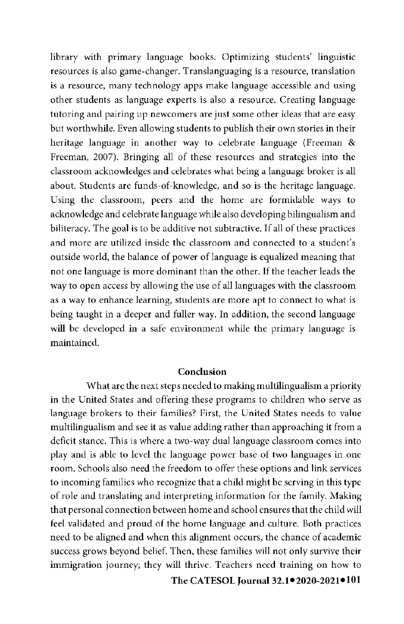library with primary language books. Optimizing students' linguistic resources is also game-changer. Translanguaging is a resource, translation is a resource, many technology apps make language accessible and using other students as language experts is also a resource. Creating language tutoring and pairing up newcomers are just some other ideas that are easy but worthwhile. Even allowing students to publish their own stories in their heritage language in another way to celebrate language (Freeman & Freeman, 2007). Bringing all of these resources and strategies into the classroom acknowledges and celebrates what being a language broker is all about. Students are funds-of-knowledge, and so is the heritage language. Using the classroom, peers and the home are formidable ways to acknowledge and celebrate language while also developing bilingualism and biliteracy. The goal is to be additive not subtractive. If all of these practices and more are utilized inside the classroom and connected to a student's outside world, the balance of power of language is equalized meaning that not one language is more dominant than the other. If the teacher leads the way to open access by allowing the use of all languages with the classroom as a way to enhance learning, students are more apt to connect to what is being taught in a deeper and fuller way. In addition, the second language will be developed in a safe environment while the primary language is maintained.

#### **Conclusion**

What are the next steps needed to making multilingualism a priority in the United States and offering these programs to children who serve as language brokers to their families? First, the United States needs to value multilingualism and see it as value adding rather than approaching it from a deficit stance. This is where a two-way dual language classroom comes into play and is able to level the language power base of two languages in one room. Schools also need the freedom to offer these options and link services to incoming families who recognize that a child might be serving in this type of role and translating and interpreting information for the family. Making that personal connection between home and school ensures that the child will feel validated and proud of the home language and culture. Both practices need to be aligned and when this alignment occurs, the chance of academic success grows beyond belief. Then, these families will not only survive their immigration journey; they will thrive. Teachers need training on how to

**● ●101 The CA TESOL Journal 32.1 2020-2021**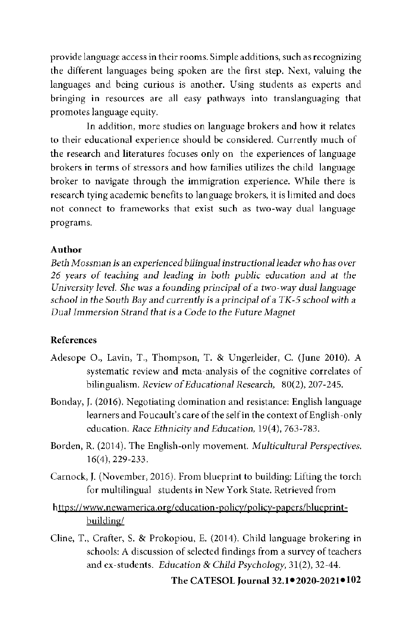provide language access in their rooms. Simple additions, such as recognizing the different languages being spoken are the first step. Next, valuing the languages and being curious is another. Using students as experts and bringing **in** resources are all easy pathways into translanguaging that promotes language equity.

In addition, more studies on language brokers and how it relates to their educational experience should be considered. Currently much of the research and literatures focuses only on the experiences of language brokers **in** terms of stressors and how families utilizes the child language broker to navigate through the immigration experience. While there is research tying academic benefits to language brokers, it is limited and does not connect to frameworks that exist such as two-way dual language programs.

### **Author**

*Beth Mossman is an experienced bilingual instructional leader who has over 26 years of teaching and leading* in *both public education and at the University lewd. She was a founding principal of a two-way dual language school in the South Bay* and *curre11tly* is *a principal ofa TK-5 school with a Dual Immersion Strand that is a Code to the Future Magnet* 

## **References**

- Adesope 0., Lavin, T., Thompson, T. & Ungerleider, C. (June 2010). A systematic review and meta-analysis of the cognitive correlates of bilingualism. *Review of Educational Research,* 80(2), 207-245.
- Bonday, J. (2016). Negotiating domination and resistance: English language learners and Foucault's care of the self in the context of English-only education. *Race Ethnicity and Education*, 19(4), 763-783.
- Borden, R. (2014). The English-only movement. *Multicultural Perspectives.*  16(4), 229-233.
- Carnock, **J.** (November, 2016). From blueprint to building: Lifting the torch for multilingual students **in** New York State. Retrieved from
- https://www.newamerica.org/education-policy/policy-papers/blueprintbuilding/
- Cline, T., Crafter, S. & Prokopiou, E. (2014). Child language brokering **in**  schools: A discussion of selected findings from a survey of teachers and ex-students. *Education* & *Child Psychology,* 31(2), 32-44.

#### **● ●102 The CA TESOL Journal 32.1 2020-2021**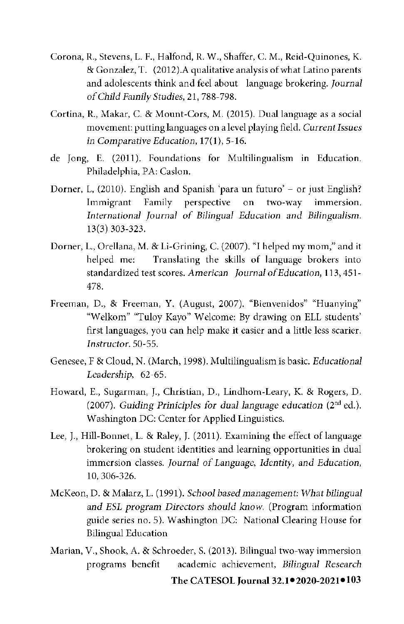- Corona, R., Stevens, L. F., Halfond, R. W., Shaffer, C. M., Reid-Quinones, K. & Gonzalez, T. (2012).A qualitative analysis of what Latino parents and adolescents think and feel about language brokering. *Journal ofCnild Family Studies,* 21, 788-798.
- Cortina, R., Makar, C. & Mount-Cors, M. (2015). Dual language as a social movement: putting languages on a level playing field. *Current Issues*  in *Comparative Education*, 17(1), 5-16.
- de Jong, E. (2011). Foundations for Multilingualism in Education. Philadelphia, PA: Caslon.
- Dorner, L, (2010). English and Spanish 'para un futuro' or just English? Immigrant Family perspective on two-way immersion. *International Journal of Bilingual Education* and *Bilingualism.*  13(3) 303-323.
- Dorner, **L.,** Orellana, **M.** & Li-Grining, C. (2007). "I helped my mom," and it helped me: Translating the skills of language brokers into standardized test scores. *American Journal ofEducation,* 113, 451- 478.
- Freeman, D., & Freeman, **Y.** (August, 2007). "Bienvenidos" "Huanying" "W elkom" "Tuloy Kayo" Welcome: By drawing on ELL students' first languages, you can help make it easier and a little less scarier. *Instructor.* 50-55.
- Genesee, F & Cloud, N. (March, 1998). Multilingualism is basic. *Educational Leadersl1ip,* 62-65.
- Howard, E., Sugarman, J., Christian, D., Lindhom-Leary, K. & Rogers, D. (2007). *Guiding Priniciplcs for dual language education* (2nd ed.). Washington DC: Center for Applied Linguistics.
- Lee, J., Hill-Bonnet, L. & Raley, J. (2011). Examining the effect of language brokering on student identities and learning opportunities in dual immersion classes. *Journal of Language, Identity, and Education,*  10, 306-326.
- McKeon, D. & Malarz, L. (1991). *School based management: What bilingual and ESL program Directors should know.* (Program information guide series no. 5). Washington DC: National Clearing House for Bilingual Education
- **● ●103 The CA TESOL Journal 32.1 2020-2021** Marian, V., Shook, A. & Schroeder, S. (2013). Bilingual two-way immersion programs benefit academic achievement, *Bilingual Research*